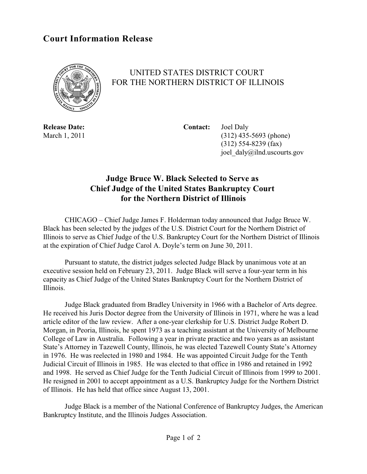## **Court Information Release**



## UNITED STATES DISTRICT COURT FOR THE NORTHERN DISTRICT OF ILLINOIS

**Release Date: Contact:** Joel Daly March 1, 2011 (312) 435-5693 (phone) (312) 554-8239 (fax) joel\_daly@ilnd.uscourts.gov

## **Judge Bruce W. Black Selected to Serve as Chief Judge of the United States Bankruptcy Court for the Northern District of Illinois**

CHICAGO – Chief Judge James F. Holderman today announced that Judge Bruce W. Black has been selected by the judges of the U.S. District Court for the Northern District of Illinois to serve as Chief Judge of the U.S. Bankruptcy Court for the Northern District of Illinois at the expiration of Chief Judge Carol A. Doyle's term on June 30, 2011.

Pursuant to statute, the district judges selected Judge Black by unanimous vote at an executive session held on February 23, 2011. Judge Black will serve a four-year term in his capacity as Chief Judge of the United States Bankruptcy Court for the Northern District of Illinois.

Judge Black graduated from Bradley University in 1966 with a Bachelor of Arts degree. He received his Juris Doctor degree from the University of Illinois in 1971, where he was a lead article editor of the law review. After a one-year clerkship for U.S. District Judge Robert D. Morgan, in Peoria, Illinois, he spent 1973 as a teaching assistant at the University of Melbourne College of Law in Australia. Following a year in private practice and two years as an assistant State's Attorney in Tazewell County, Illinois, he was elected Tazewell County State's Attorney in 1976. He was reelected in 1980 and 1984. He was appointed Circuit Judge for the Tenth Judicial Circuit of Illinois in 1985. He was elected to that office in 1986 and retained in 1992 and 1998. He served as Chief Judge for the Tenth Judicial Circuit of Illinois from 1999 to 2001. He resigned in 2001 to accept appointment as a U.S. Bankruptcy Judge for the Northern District of Illinois. He has held that office since August 13, 2001.

Judge Black is a member of the National Conference of Bankruptcy Judges, the American Bankruptcy Institute, and the Illinois Judges Association.